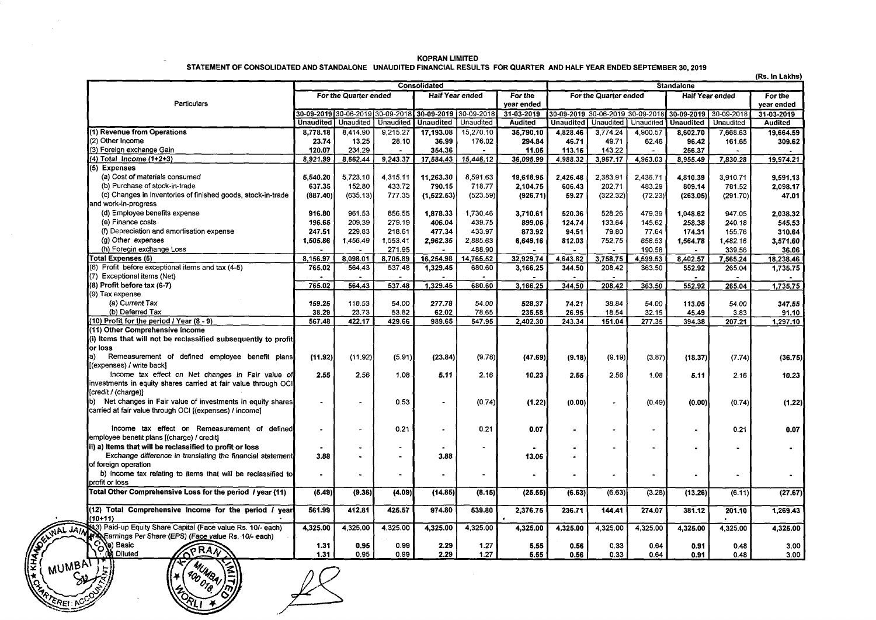| (Rs. In Lakhs)                                                                                                                                                                                                                                                                                         |                       |                      |                |                                                        |                   |                       |                                  |                          |                        |                  |                |                |
|--------------------------------------------------------------------------------------------------------------------------------------------------------------------------------------------------------------------------------------------------------------------------------------------------------|-----------------------|----------------------|----------------|--------------------------------------------------------|-------------------|-----------------------|----------------------------------|--------------------------|------------------------|------------------|----------------|----------------|
|                                                                                                                                                                                                                                                                                                        | <b>Consolidated</b>   |                      |                |                                                        | <b>Standalone</b> |                       |                                  |                          |                        |                  |                |                |
|                                                                                                                                                                                                                                                                                                        | For the Quarter ended |                      |                | <b>Half Year ended</b><br>For the                      |                   | For the Quarter ended |                                  |                          | <b>Half Year ended</b> |                  | For the        |                |
| Particulars                                                                                                                                                                                                                                                                                            |                       |                      |                |                                                        |                   | year ended            |                                  |                          |                        |                  |                | vear ended     |
|                                                                                                                                                                                                                                                                                                        |                       |                      |                | 30-09-2019 30-06-2019 30-09-2018 30-09-2019 30-09-2018 |                   | $31 - 03 - 2019$      | 30-09-2019 30-06-2019 30-09-2018 |                          |                        | 30-09-2019       | 30-09-2018     | 31-03-2019     |
|                                                                                                                                                                                                                                                                                                        | Unaudited             | Unaudited            | Unaudited      | Unaudited                                              | Unaudited         | Audited               | Unaudited   Unaudited            |                          | Unaudited              | <b>Unaudited</b> | Unaudited      | <b>Audited</b> |
| (1) Revenue from Operations                                                                                                                                                                                                                                                                            | 8,778.18              | 8,414.90             | 9,215.27       | 17.193.08                                              | 15,270.10         | 35,790.10             | 4,828.46                         | 3.774.24                 | 4,900.57               | 8,602.70         | 7,668.63       | 19,664.59      |
| (2) Other Income                                                                                                                                                                                                                                                                                       | 23.74                 | 13,25                | 28.10          | 36.99                                                  | 176.02            | 294.84                | 46.71                            | 49.71                    | 62.46                  | 96.42            | 161.65         | 309.62         |
| (3) Foreign exchange Gain                                                                                                                                                                                                                                                                              | 120.07                | 234.29               |                | 354.36                                                 |                   | 11.05                 | 113.15                           | 143.22                   |                        | 256.37           |                |                |
| (4) Total Income (1+2+3)                                                                                                                                                                                                                                                                               | 8,921.99              | 8,662.44             | 9,243.37       | 17,584.43                                              | 15,446.12         | 36,095.99             | 4,988.32                         | 3,967.17                 | 4,963.03               | 8,955.49         | 7,830.28       | 19,974.21      |
| (5) Expenses                                                                                                                                                                                                                                                                                           |                       |                      |                |                                                        |                   |                       |                                  |                          |                        |                  |                |                |
| (a) Cost of materials consumed                                                                                                                                                                                                                                                                         | 5,540.20              | 5,723,10             | 4.315.11       | 11.263.30                                              | 8,591.63          | 19,618.95             | 2.426.48                         | 2.383.91                 | 2.436.71               | 4,810.39         | 3.910.71       | 9,591.13       |
| (b) Purchase of stock-in-trade                                                                                                                                                                                                                                                                         | 637.35                | 152.80               | 433.72         | 790.15                                                 | 718.77            | 2,104.75              | 606.43                           | 202.71                   | 483.29                 | 809.14           | 781.52         | 2,098.17       |
| (c) Changes in Inventories of finished goods, stock-in-trade<br>and work-in-progress                                                                                                                                                                                                                   | (887.40)              | (635.13)             | 777.35         | (1,522.53)                                             | (523.59)          | (926.71)              | 59.27                            | (322.32)                 | (72.23)                | (263.05)         | (291.70)       | 47.01          |
| (d) Employee benefits expense                                                                                                                                                                                                                                                                          | 916.80                | 961.53               | 856.55         | 1,878.33                                               | 1,730.46          | 3.710.61              | 520.36                           | 528.26                   | 479.39                 | 1.048.62         | 947.05         | 2,038.32       |
| (e) Finance costs                                                                                                                                                                                                                                                                                      | 196.65                | 209.39               | 279.19         | 406.04                                                 | 439.75            | 899.06                | 124.74                           | 133.64                   | 145.62                 | 258.38           | 240.18         | 545.53         |
| (f) Depreciation and amortisation expense                                                                                                                                                                                                                                                              | 247.51                | 229.83               | 218.61         | 477.34                                                 | 433.97            | 873.92                | 94.51                            | 79.80                    | 77.64                  | 174.31           | 155.76         | 310.64         |
| (g) Other expenses                                                                                                                                                                                                                                                                                     | 1,505.86              | 1,456.49             | 1.553.41       | 2,962.35                                               | 2,885.63          | 6,649.16              | 812.03                           | 752.75                   | 858.53                 | 1.564.78         | 1,482.16       | 3,571.60       |
| (h) Foregin exchange Loss                                                                                                                                                                                                                                                                              |                       |                      | 271.95         |                                                        | 488.90            |                       |                                  |                          | 190.58                 |                  | 339.56         | 36.06          |
| <b>Total Expenses (5)</b>                                                                                                                                                                                                                                                                              | 8,156.97              | 8,098.01             | 8,705.89       | 16,254.98                                              | 14,765.52         | 32,929.74             | 4,643.82                         | 3,758.75                 | 4,599.53               | 8,402.57         | 7,565.24       | 18,238.46      |
| (6) Profit before exceptional items and tax (4-5)<br>(7) Exceptional items (Net)                                                                                                                                                                                                                       | 765.02                | 564.43               | 537.48         | 1,329.45                                               | 680.60<br>$\sim$  | 3,166.25              | 344.50                           | 208.42                   | 363.50                 | 552.92           | 265.04         | 1,735.75       |
| (8) Profit before tax (6-7)                                                                                                                                                                                                                                                                            | 765.02                | 564.43               | 537.48         |                                                        | 680.60            |                       | 344.50                           | 208.42                   |                        | 552.92           |                |                |
| (9) Tax expense                                                                                                                                                                                                                                                                                        |                       |                      |                | 1,329.45                                               |                   | 3,166.25              |                                  |                          | 363.50                 |                  | 265.04         | 1,735.75       |
| (a) Current Tax                                                                                                                                                                                                                                                                                        | 159.25                | 118.53               | 54.00          | 277.78                                                 | 54.00             | 528,37                | 74.21                            | 38.84                    | 54.00                  | 113.05           | 54.00          | 347.55         |
| (b) Deferred Tax                                                                                                                                                                                                                                                                                       | 38.29                 | 23.73                | 53.82          | 62.02                                                  | 78.65             | 235.58                | 26.95                            | 18.54                    | 32.15                  | 45.49            | 3.83           | 91.10          |
| (10) Profit for the period / Year (8 - 9)                                                                                                                                                                                                                                                              | 567.48                | 422.17               | 429.66         | 989.65                                                 | 547.95            | 2,402.30              | 243.34                           | 151.04                   | 277.35                 | 394.38           | 207.21         | 1,297.10       |
| (11) Other Comprehensive Income                                                                                                                                                                                                                                                                        |                       |                      |                |                                                        |                   |                       |                                  |                          |                        |                  |                |                |
| (i) Items that will not be reclassified subsequently to profit                                                                                                                                                                                                                                         |                       |                      |                |                                                        |                   |                       |                                  |                          |                        |                  |                |                |
| or loss                                                                                                                                                                                                                                                                                                |                       |                      |                |                                                        |                   |                       |                                  |                          |                        |                  |                |                |
| Remeasurement of defined employee benefit plans<br>la).                                                                                                                                                                                                                                                | (11.92)               | (11.92)              | (5.91)         | (23.84)                                                | (9.78)            | (47.69)               | (9.18)                           | (9.19)                   | (3.87)                 | (18.37)          | (7.74)         | (36.75)        |
| [(expenses) / write back]                                                                                                                                                                                                                                                                              |                       |                      |                |                                                        |                   |                       |                                  |                          |                        |                  |                |                |
| Income tax effect on Net changes in Fair value of                                                                                                                                                                                                                                                      | 2.55                  | 2.56                 | 1.08           | 5.11                                                   | 2.16              | 10.23                 | 2.55                             | 2.56                     | 1.08                   | 5.11             | 2.16           | 10.23          |
| investments in equity shares carried at fair value through OCI                                                                                                                                                                                                                                         |                       |                      |                |                                                        |                   |                       |                                  |                          |                        |                  |                |                |
| [credit / (charge)]                                                                                                                                                                                                                                                                                    |                       |                      |                |                                                        |                   |                       |                                  |                          |                        |                  |                |                |
| b) Net changes in Fair value of investments in equity shares                                                                                                                                                                                                                                           | ٠                     | $\blacksquare$       | 0.53           | ۰                                                      | (0.74)            | (1.22)                | (0.00)                           |                          | (0.49)                 | (0.00)           | (0.74)         | (1.22)         |
| carried at fair value through OCI [(expenses) / income]                                                                                                                                                                                                                                                |                       |                      |                |                                                        |                   |                       |                                  |                          |                        |                  |                |                |
|                                                                                                                                                                                                                                                                                                        |                       |                      |                |                                                        |                   |                       |                                  |                          |                        |                  |                |                |
| Income tax effect on Remeasurement of defined                                                                                                                                                                                                                                                          | $\bullet$             | $\ddot{\phantom{0}}$ | 0.21           | ٠                                                      | 0.21              | 0.07                  | $\blacksquare$                   | $\overline{\phantom{a}}$ | $\blacksquare$         | $\blacksquare$   | 0.21           | 0.07           |
| employee benefit plans [(charge) / credit]                                                                                                                                                                                                                                                             |                       |                      |                |                                                        |                   |                       |                                  |                          |                        |                  |                |                |
| ii) a) Items that will be reclassified to profit or loss                                                                                                                                                                                                                                               |                       | $\ddot{\phantom{0}}$ | $\blacksquare$ |                                                        | $\blacksquare$    |                       | $\overline{\phantom{a}}$         |                          | $\blacksquare$         | $\blacksquare$   |                |                |
| Exchange difference in translating the financial statement                                                                                                                                                                                                                                             | 3.88                  | $\ddot{\phantom{a}}$ | $\blacksquare$ | 3.88                                                   |                   | 13.06                 | $\blacksquare$                   |                          |                        |                  |                |                |
| of foreign operation                                                                                                                                                                                                                                                                                   |                       |                      |                |                                                        |                   |                       |                                  |                          |                        |                  |                |                |
| b) income tax relating to items that will be reclassified to                                                                                                                                                                                                                                           | $\bullet$             | $\blacksquare$       | $\blacksquare$ | $\blacksquare$                                         | $\blacksquare$    |                       |                                  | $\bullet$                | $\blacksquare$         | $\blacksquare$   | $\blacksquare$ |                |
| profit or loss                                                                                                                                                                                                                                                                                         |                       |                      |                |                                                        |                   |                       |                                  |                          |                        |                  |                |                |
| Total Other Comprehensive Loss for the period / year (11)                                                                                                                                                                                                                                              | (5.49)                | (9.36)               | (4.09)         | (14.85)                                                | (8.15)            | (25.55)               | (6.63)                           | (6.63)                   | (3.28)                 | (13.26)          | (6.11)         | (27.67)        |
| (12) Total Comprehensive Income for the period / year                                                                                                                                                                                                                                                  | 561.99                | 412.81               | 425.57         | 974.80                                                 | 539.80            | 2,376.75              | 236.71                           | 144.41                   | 274.07                 | 381.12           | 201.10         | 1,269.43       |
|                                                                                                                                                                                                                                                                                                        |                       |                      |                |                                                        |                   |                       |                                  |                          |                        |                  |                |                |
| (3) Paid-up Equity Share Capital (Face value Rs. 10/- each)                                                                                                                                                                                                                                            | 4,325.00              | 4,325.00             | 4.325.00       | 4,325.00                                               | 4,325.00          | 4.325.00              | 4,325.00                         | 4,325.00                 | 4,325.00               | 4,325.00         | 4,325.00       | 4,325.00       |
|                                                                                                                                                                                                                                                                                                        | 1.31                  | 0.95                 | 0.99           | 2.29                                                   | 1.27              | 5.55                  | 0.56                             | 0.33                     | 0.64                   | 0.91             | 0.48           | 3.00           |
|                                                                                                                                                                                                                                                                                                        | 1.31                  | 0.95                 | 0.99           | 2.29                                                   | 1.27              | 5.55                  | 0.56                             | 0.33                     | 0.64                   | 0.91             | 0.48           | 3.00           |
| Sus for the period Ty<br>(1941)<br>WAL JATA THE Capital (Face value Rs. 10/- each<br>(Exception 1991)<br>Paid-up Equity Share Capital (Face value Rs. 10/- each)<br>(PRATT)<br>MUMBATT)<br>(MUMBATT)<br>CALL CALL CALL CALL CALL CALL CALL CAL<br>1 400 018.<br>$A_{\tilde{O}_k}$<br><b>RATED LCCC</b> |                       |                      |                |                                                        |                   |                       |                                  |                          |                        |                  |                |                |

KOPRAN LIMITED STATEMENT OF CONSOLIDATED AND STANDALONE UNAUDITED FINANCIAL RESULTS FOR QUARTER AND HALF YEAR ENDED SEPTEMBER 30, 2019

 $\frac{\partial \sigma_{\theta}(\mathbf{y})}{\partial \mathbf{R}(\mathbf{y})}$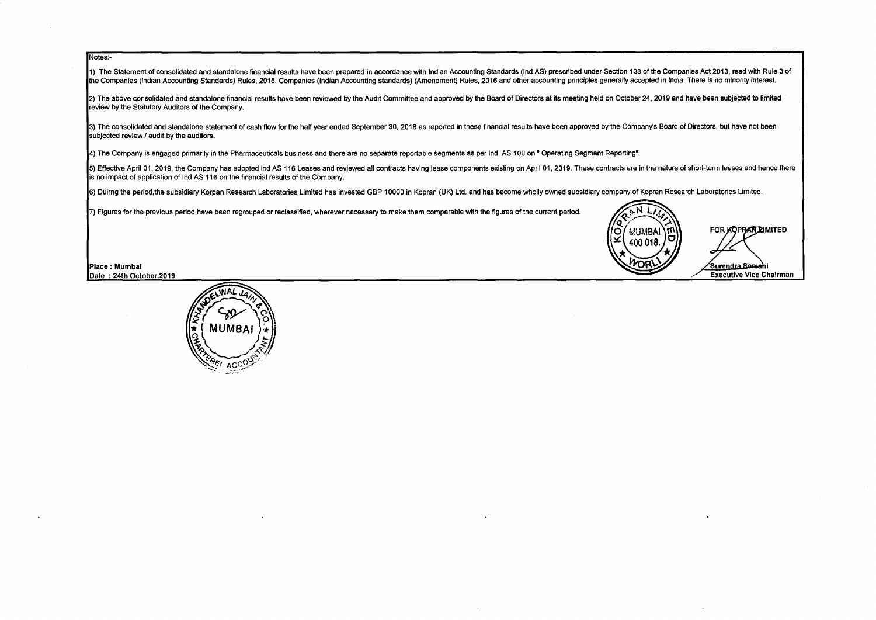### Notes:-

1) The Statement of consolidated and standalone financial results have been prepared in accordance with Indian Accounting Standards (Ind AS) prescribed under Section 133 of the Companies Act 2013, read with Rule 3 of the Companies (Indian Accounting Standards) Rules, 2015, Companies (Indian Accounting standards) (Amendment) Rules, 2016 and other accounting principles generally accepted in India. There is no minority interest.

2) The above consolidated and standalone financial results have been reviewed by the Audit Committee and approved by the Board of Directors at its meeting held on October 24, 2019 and have been subjected to limited review by the Statutory Auditors of the Company.

3) The consolidated and standalone statement of cash flow for the half year ended September 30, 2018 as reported in these financial results have been approved by the Company's Board of Directors, but have not been subjected review / audit by the auditors.

4) The Company is engaged primarily in the Pharmaceuticals business and there are no separate reportable segments as per Ind AS 108 on" Operating Segment Reporting".

5) Effective April 01, 2019, the Company has adopted Ind AS 116 Leases and reviewed all contracts having lease components existing on April 01, 2019. These contracts are in the nature of short-term leases and hence there is no impact of application of Ind AS 116 on the financial results of the Company.

6) Duirng the period.the subsidiary Korpan Research Laboratories Limited has invested GBP 10000 in Kopran (UK) Ltd. and has become wholly owned subsidiary company of Kopran Research Laboratories Limited.

7) Figures for the previous period have been regrouped or reclassified, wherever necessary to make them comparable with the figures of the current period.





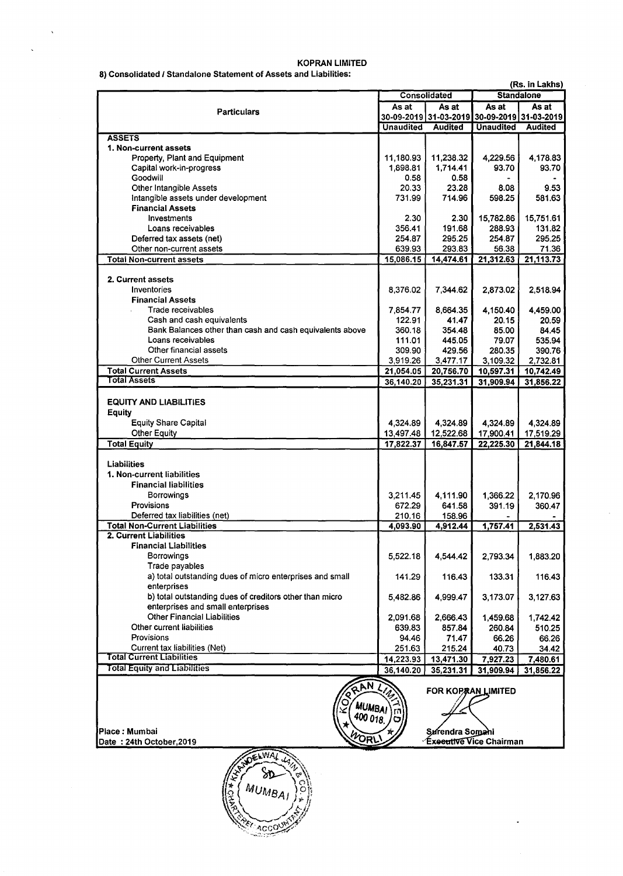|                                                                       |                  | Consolidated                                | <b>Standalone</b> |                |  |  |
|-----------------------------------------------------------------------|------------------|---------------------------------------------|-------------------|----------------|--|--|
|                                                                       | As at            | As at                                       |                   | As at<br>As at |  |  |
| <b>Particulars</b>                                                    |                  | 30-09-2019 31-03-2019 30-09-2019 31-03-2019 |                   |                |  |  |
|                                                                       | <b>Unaudited</b> | <b>Audited</b>                              | <b>Unaudited</b>  | <b>Audited</b> |  |  |
| <b>ASSETS</b>                                                         |                  |                                             |                   |                |  |  |
| 1. Non-current assets                                                 |                  |                                             |                   |                |  |  |
| Property, Plant and Equipment                                         | 11,180.93        | 11,238.32                                   | 4,229.56          | 4,178.83       |  |  |
| Capital work-in-progress                                              | 1,898.81         | 1,714.41                                    | 93.70             | 93.70          |  |  |
| Goodwill                                                              | 0.58             | 0.58                                        |                   |                |  |  |
| <b>Other Intangible Assets</b><br>Intangible assets under development | 20.33<br>731.99  | 23.28<br>714.96                             | 8.08<br>598.25    | 9.53<br>581.63 |  |  |
| <b>Financial Assets</b>                                               |                  |                                             |                   |                |  |  |
| Investments                                                           | 2.30             | 2.30                                        | 15,782.86         | 15,751.61      |  |  |
| Loans receivables                                                     | 356.41           | 191.68                                      | 288.93            | 131.82         |  |  |
| Deferred tax assets (net)                                             | 254.87           | 295.25                                      | 254.87            | 295.25         |  |  |
| Other non-current assets                                              | 639.93           | 293.83                                      | 56.38             | 71.36          |  |  |
| <b>Total Non-current assets</b>                                       | 15,086.15        | 14,474.61                                   | 21,312.63         | 21,113.73      |  |  |
|                                                                       |                  |                                             |                   |                |  |  |
| 2. Current assets                                                     |                  |                                             |                   |                |  |  |
| Inventories                                                           | 8,376.02         | 7,344.62                                    | 2,873.02          | 2,518.94       |  |  |
| <b>Financial Assets</b>                                               |                  |                                             |                   |                |  |  |
| Trade receivables                                                     | 7.854.77         | 8,664.35                                    | 4,150.40          | 4,459.00       |  |  |
| Cash and cash equivalents                                             | 122.91           | 41.47                                       | 20.15             | 20.59          |  |  |
| Bank Balances other than cash and cash equivalents above              | 360.18           | 354.48                                      | 85.00             | 84.45          |  |  |
| Loans receivables                                                     | 111.01           | 445.05                                      | 79.07             | 535.94         |  |  |
| Other financial assets                                                | 309.90           | 429.56                                      | 280.35            | 390.76         |  |  |
| <b>Other Current Assets</b>                                           | 3,919.26         | 3,477.17                                    | 3,109.32          | 2,732.81       |  |  |
| <b>Total Current Assets</b>                                           | 21,054.05        | 20,756.70                                   | 10,597.31         | 10,742.49      |  |  |
| <b>Total Assets</b>                                                   | 36,140.20        | 35,231.31                                   | 31,909.94         | 31,856.22      |  |  |
| <b>EQUITY AND LIABILITIES</b>                                         |                  |                                             |                   |                |  |  |
| Equity                                                                |                  |                                             |                   |                |  |  |
| <b>Equity Share Capital</b>                                           | 4,324.89         | 4,324.89                                    | 4,324.89          | 4,324.89       |  |  |
| <b>Other Equity</b>                                                   | 13,497.48        | 12,522.68                                   | 17,900.41         | 17,519.29      |  |  |
| <b>Total Equity</b>                                                   | 17,822.37        | 16,847.57                                   | 22,225.30         | 21,844.18      |  |  |
|                                                                       |                  |                                             |                   |                |  |  |
| Liabilities                                                           |                  |                                             |                   |                |  |  |
| 1. Non-current liabilities                                            |                  |                                             |                   |                |  |  |
| <b>Financial liabilities</b>                                          |                  |                                             |                   |                |  |  |
| <b>Borrowings</b>                                                     | 3,211.45         | 4,111.90                                    | 1,366.22          | 2,170.96       |  |  |
| Provisions                                                            | 672.29           | 641.58                                      | 391.19            | 360.47         |  |  |
| Deferred tax liabilities (net)                                        | 210.16           | 158.96                                      |                   |                |  |  |
| <b>Total Non-Current Liabilities</b>                                  | 4,093.90         | 4,912.44                                    | 1,757.41          | 2,531.43       |  |  |
| 2. Current Liabilities                                                |                  |                                             |                   |                |  |  |
| <b>Financial Liabilities</b>                                          |                  |                                             |                   |                |  |  |
| Borrowings                                                            | 5,522.18         | 4,544.42                                    | 2,793.34          | 1,883.20       |  |  |
| Trade payables                                                        |                  |                                             |                   |                |  |  |
| a) total outstanding dues of micro enterprises and small              | 141.29           | 116.43                                      | 133.31            | 116.43         |  |  |
| enterprises                                                           |                  |                                             |                   |                |  |  |
| b) total outstanding dues of creditors other than micro               | 5,482.86         | 4,999.47                                    | 3,173.07          | 3,127.63       |  |  |
| enterprises and small enterprises                                     |                  |                                             |                   |                |  |  |
| <b>Other Financial Liabilities</b>                                    | 2,091.68         | 2,666.43                                    | 1,459.68          | 1,742.42       |  |  |
| Other current liabilities                                             | 639.83           | 857.84                                      | 260.84            | 510.25         |  |  |
| Provisions<br>Current tax liabilities (Net)                           | 94.46            | 71.47                                       | 66.26             | 66.26          |  |  |
| <b>Total Current Liabilities</b>                                      | 251.63           | 215.24                                      | 40.73             | 34.42          |  |  |
| <b>Total Equity and Liabilities</b>                                   | 14,223.93        | 13,471.30                                   | 7,927.23          | 7,480.61       |  |  |
|                                                                       | 36,140.20        | 35,231.31                                   | 31,909.94         | 31,856.22      |  |  |
| <b>FANT</b>                                                           |                  |                                             |                   |                |  |  |
| <b>FOR KOPRAN LIMITED</b>                                             |                  |                                             |                   |                |  |  |
| <b>MUMBAI</b>                                                         | m                |                                             |                   |                |  |  |
| 400 018                                                               |                  |                                             |                   |                |  |  |
|                                                                       |                  |                                             |                   |                |  |  |

 $\ddot{\phantom{a}}$ 

.

Place : Mumbai<br>Date : 24th October,2019 ~OR\..~ <sup>i</sup> Date : 24th October,2019 · hairman

 $\bar{\Delta}$ 

 $\ddot{\phantom{0}}$ 

DELWAL L Sр **MUMBAI** ACCOUNT

### KOPRAN LIMITED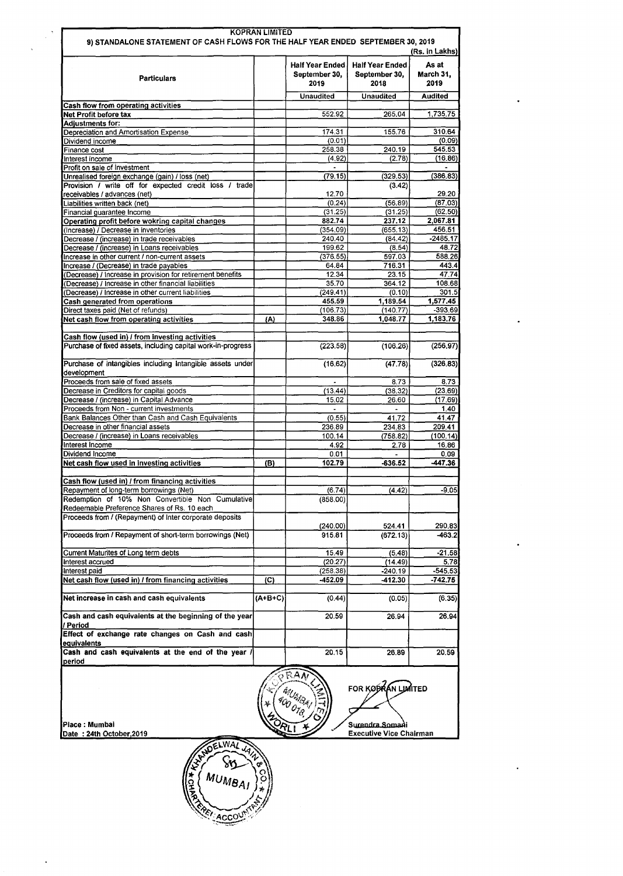| 9) STANDALONE STATEMENT OF CASH FLOWS FOR THE HALF YEAR ENDED SEPTEMBER 30, 2019                                                                           |         |                                                 |                                                 | (Rs. in Lakhs)             |
|------------------------------------------------------------------------------------------------------------------------------------------------------------|---------|-------------------------------------------------|-------------------------------------------------|----------------------------|
| <b>Particulars</b>                                                                                                                                         |         | <b>Half Year Ended</b><br>September 30,<br>2019 | <b>Half Year Ended</b><br>September 30,<br>2018 | As at<br>March 31,<br>2019 |
|                                                                                                                                                            |         | <b>Unaudited</b>                                | <b>Unaudited</b>                                | <b>Audited</b>             |
| Cash flow from operating activities                                                                                                                        |         |                                                 |                                                 |                            |
| Net Profit before tax<br><b>Adjustments for:</b>                                                                                                           |         | 552.92                                          | 265.04                                          | 1,735.75                   |
| Depreciation and Amortisation Expense                                                                                                                      |         | 174.31                                          | 155.76                                          | 310.64                     |
| Dividend income                                                                                                                                            |         | (0.01)                                          |                                                 | (0.09)                     |
| Finance cost                                                                                                                                               |         | 258.38                                          | 240.19                                          | 545.53                     |
| Interest income                                                                                                                                            |         | (4.92)                                          | (2.78)                                          | (16.86)                    |
| Profit on sale of Investment                                                                                                                               |         |                                                 |                                                 |                            |
| Unrealised foreign exchange (gain) / loss (net)<br>Provision / write off for expected credit loss / trade<br>receivables / advances (net)                  |         | (79.15)<br>12.70                                | (329.53)<br>(3.42)                              | (386.83)<br>29.20          |
| Liabilities written back (net)                                                                                                                             |         | (0.24)                                          | (56.89)                                         | (87.03)                    |
| Financial guarantee Income                                                                                                                                 |         | (31.25)                                         | (31.25)                                         | (62.50)                    |
| Operating profit before wokring capital changes                                                                                                            |         | 882.74                                          | 237.12                                          | 2.067.81                   |
| (Increase) / Decrease in inventories                                                                                                                       |         | (354.09)                                        | (655.13)                                        | 456.51                     |
| Decrease / (increase) in trade receivables                                                                                                                 |         | 240.40                                          | (84.42)                                         | $-2485.17$                 |
| Decrease / (increase) in Loans receivables<br>Increase in other current / non-current assets                                                               |         | 199.62<br>(376.55)                              | (8.54)<br>597.03                                | 48.72<br>588.26            |
| Increase / (Decrease) in trade payables                                                                                                                    |         | 64.84                                           | 716.31                                          | 443.4                      |
| (Decrease) / Increase in provision for retirement benefits                                                                                                 |         | 12.34                                           | 23.15                                           | 47.74                      |
| (Decrease) / Increase in other financial liabilities                                                                                                       |         | 35.70                                           | 364.12                                          | 108.68                     |
| (Decrease) / Increase in other current liabilities                                                                                                         |         | (249.41)                                        | (0.10)                                          | 301.5                      |
| Cash generated from operations                                                                                                                             |         | 455.59                                          | 1,189.54                                        | 1,577.45                   |
| Direct taxes paid (Net of refunds)                                                                                                                         |         | (106.73)                                        | (140.77)                                        | $-393.69$                  |
| Net cash flow from operating activities                                                                                                                    | (A)     | 348.86                                          | 1.048.77                                        | 1,183,76                   |
| Cash flow (used in) / from investing activities                                                                                                            |         |                                                 |                                                 |                            |
| Purchase of fixed assets, including capital work-in-progress                                                                                               |         | (223.58)                                        | (106.26)                                        | (256.97)                   |
| Purchase of intangibles including intangible assets under<br>development                                                                                   |         | (16.62)                                         | (47.78)                                         | (326.83)                   |
| Proceeds from sale of fixed assets                                                                                                                         |         |                                                 | 8.73                                            | 8.73                       |
| Decrease in Creditors for capital goods<br>Decrease / (increase) in Capital Advance                                                                        |         | (13.44)<br>15.02                                | (38.32)<br>26.60                                | (23.69)<br>(17.69)         |
| Proceeds from Non - current investments                                                                                                                    |         | $\overline{\phantom{a}}$                        | $\blacksquare$                                  | 1.40                       |
| Bank Balances Other than Cash and Cash Equivalents                                                                                                         |         | (0.55)                                          | 41.72                                           | 41.47                      |
| Decrease in other financial assets                                                                                                                         |         | 236.89                                          | 234.83                                          | 209.41                     |
| Decrease / (increase) in Loans receivables                                                                                                                 |         | 100.14                                          | (758.82)                                        | (100.14)                   |
| Interest Income                                                                                                                                            |         | 4.92                                            | 2.78                                            | 16.86                      |
| Dividend Income<br>Net cash flow used in investing activities                                                                                              | (B)     | 0.01<br>102.79                                  | $-636.52$                                       | 0.09<br>-447.36            |
|                                                                                                                                                            |         |                                                 |                                                 |                            |
| Cash flow (used in) / from financing activities                                                                                                            |         |                                                 |                                                 |                            |
| Repayment of long-term borrowings (Net)                                                                                                                    |         | (6.74)                                          | (4.42)                                          | -9.05                      |
| Redemption of 10% Non Convertible Non Cumulative<br>Redeemable Preference Shares of Rs. 10 each<br>Proceeds from / (Repayment) of Inter corporate deposits |         | (858.00)                                        |                                                 |                            |
|                                                                                                                                                            |         | (240.00)                                        | 524.41                                          | 290.83                     |
| Proceeds from / Repayment of short-term borrowings (Net)                                                                                                   |         | 915.81                                          | (672.13)                                        | $-463.2$                   |
| Current Maturites of Long term debts                                                                                                                       |         | 15.49                                           | (5.48)                                          | $-21.58$                   |
| Interest accrued                                                                                                                                           |         | (20.27)                                         | (14.49)                                         | 5.78                       |
| Interest paid                                                                                                                                              |         | (258.38)                                        | -240.19                                         | $-545.53$                  |
| Net cash flow (used in) / from financing activities                                                                                                        | (C)     | -452.09                                         | -412.30                                         | -742.75                    |
| Net increase in cash and cash equivalents                                                                                                                  | (A+B+C) | (0.44)                                          | (0.05)                                          | (6.35)                     |
| Cash and cash equivalents at the beginning of the year<br>/ Period                                                                                         |         | 20.59                                           | 26.94                                           | 26.94                      |
| Effect of exchange rate changes on Cash and cash<br>equivalents                                                                                            |         |                                                 |                                                 |                            |
| Cash and cash equivalents at the end of the year /<br>period                                                                                               |         | 20.15                                           | 26.89                                           | 20.59                      |
|                                                                                                                                                            |         |                                                 | FOR KOPKAN LUMITED                              |                            |

 $\ddot{\phantom{1}}$ 

 $\bar{\beta}$ 



Surendra Somani<br>Executive Vice Chairman

 $\ddot{\phantom{0}}$ 

 $\ddot{\phantom{1}}$ 

 $\ddot{\phantom{0}}$ 

 $\ddot{\phantom{0}}$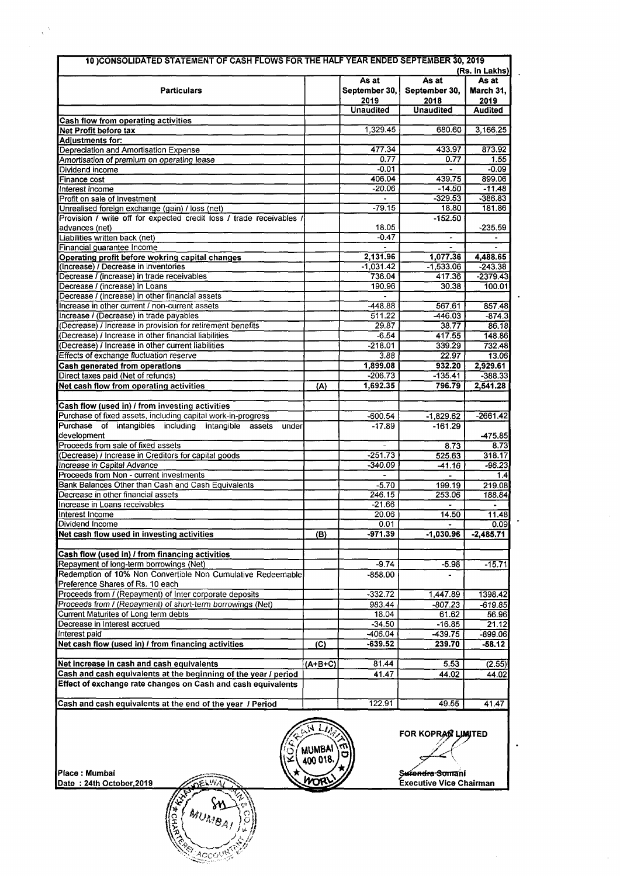| 10 CONSOLIDATED STATEMENT OF CASH FLOWS FOR THE HALF YEAR ENDED SEPTEMBER 30, 2019              |                                           |                       |                       |                         |  |  |  |
|-------------------------------------------------------------------------------------------------|-------------------------------------------|-----------------------|-----------------------|-------------------------|--|--|--|
|                                                                                                 | (Rs. in Lakhs)<br>As at<br>As at<br>As at |                       |                       |                         |  |  |  |
| <b>Particulars</b>                                                                              |                                           | September 30,         | September 30,         |                         |  |  |  |
|                                                                                                 |                                           | 2019                  | 2018                  | March 31,<br>2019       |  |  |  |
|                                                                                                 |                                           | <b>Unaudited</b>      | <b>Unaudited</b>      | <b>Audited</b>          |  |  |  |
| <b>Cash flow from operating activities</b>                                                      |                                           |                       |                       |                         |  |  |  |
| Net Profit before tax                                                                           |                                           | 1,329.45              | 680.60                | 3,166.25                |  |  |  |
| <b>Adjustments for:</b>                                                                         |                                           |                       |                       |                         |  |  |  |
| Depreciation and Amortisation Expense                                                           |                                           | 477.34                | 433.97                | 873.92                  |  |  |  |
| Amortisation of premium on operating lease                                                      |                                           | 0.77                  | 0.77                  | 1.55                    |  |  |  |
| Dividend income                                                                                 |                                           | $-0.01$               | ä,                    | $-0.09$                 |  |  |  |
| <b>Finance cost</b>                                                                             |                                           | 406.04                | 439.75                | 899.06                  |  |  |  |
| Interest income                                                                                 |                                           | $-20.06$              | $-14.50$              | $-11.48$                |  |  |  |
| Profit on sale of Investment                                                                    |                                           |                       | $-329.53$             | $-386.83$               |  |  |  |
| Unrealised foreign exchange (gain) / loss (net)                                                 |                                           | $-79.15$              | 18.80                 | 181.86                  |  |  |  |
| Provision / write off for expected credit loss / trade receivables /                            |                                           |                       | $-152.50$             |                         |  |  |  |
| advances (net)                                                                                  |                                           | 18.05                 |                       | $-235.59$               |  |  |  |
| Liabilities written back (net)                                                                  |                                           | $-0.47$               | $\blacksquare$        | $\blacksquare$          |  |  |  |
| Financial guarantee Income                                                                      |                                           |                       |                       |                         |  |  |  |
| Operating profit before wokring capital changes                                                 |                                           | 2.131.96              | 1,077.36              | 4,488.65                |  |  |  |
| (Increase) / Decrease in inventories<br>Decrease $\overline{I}$ (increase) in trade receivables |                                           | $-1,031.42$<br>736.04 | $-1,533.06$<br>417.36 | $-243.38$<br>$-2379.43$ |  |  |  |
| Decrease / (increase) in Loans                                                                  |                                           | 190.96                | 30.38                 | 100.01                  |  |  |  |
| Decrease / (increase) in other financial assets                                                 |                                           |                       |                       |                         |  |  |  |
| Increase in other current / non-current assets                                                  |                                           | $-448.88$             | 567.61                | 857.48                  |  |  |  |
| Increase / (Decrease) in trade payables                                                         |                                           | 511.22                | -446.03               | $-874.3$                |  |  |  |
| (Decrease) / Increase in provision for retirement benefits                                      |                                           | 29.87                 | 38.77                 | 86.18                   |  |  |  |
| (Decrease) / Increase in other financial liabilities                                            |                                           | $-6.54$               | 417.55                | 148.86                  |  |  |  |
| (Decrease) / Increase in other current liabilities                                              |                                           | $-218.01$             | 339.29                | 732.48                  |  |  |  |
| Effects of exchange fluctuation reserve                                                         |                                           | 3.88                  | 22.97                 | 13.06                   |  |  |  |
| Cash generated from operations                                                                  |                                           | 1,899.08              | 932.20                | 2,929.61                |  |  |  |
| Direct taxes paid (Net of refunds)                                                              |                                           | $-206.73$             | $-135.41$             | $-388.33$               |  |  |  |
| Net cash flow from operating activities                                                         | (A)                                       | 1,692.35              | 796.79                | 2,541.28                |  |  |  |
|                                                                                                 |                                           |                       |                       |                         |  |  |  |
| Cash flow (used in) / from investing activities                                                 |                                           |                       |                       |                         |  |  |  |
| Purchase of fixed assets, including capital work-in-progress                                    |                                           | -600.54               | $-1,829.62$           | -2661.42                |  |  |  |
| Purchase of intangibles including Intangible assets<br>under                                    |                                           | $-17.89$              | $-161.29$             |                         |  |  |  |
| development                                                                                     |                                           |                       |                       | $-475.85$               |  |  |  |
| Proceeds from sale of fixed assets                                                              |                                           |                       | 8.73                  | 8.73                    |  |  |  |
| (Decrease) / Increase in Creditors for capital goods                                            |                                           | $-251.73$             | 525.63                | 318.17                  |  |  |  |
| Increase in Capital Advance                                                                     |                                           | -340.09               | $-41.16$              | $-96.23$                |  |  |  |
| Proceeds from Non - current investments                                                         |                                           |                       |                       | 1.4                     |  |  |  |
| Bank Balances Other than Cash and Cash Equivalents                                              |                                           | $-5.70$               | 199.19                | 219.08                  |  |  |  |
| Decrease in other financial assets                                                              |                                           | 246.15                | 253.06                | 188.84                  |  |  |  |
| Increase in Loans receivables<br>Interest Income                                                |                                           | $-21.66$<br>20.06     | 14.50                 |                         |  |  |  |
| Dividend Income                                                                                 |                                           | 0.01                  |                       | 11.48<br>0.09           |  |  |  |
| Net cash flow used in investing activities                                                      | (B)                                       | $-971.39$             | $-1,030.96$           | $-2,485.71$             |  |  |  |
|                                                                                                 |                                           |                       |                       |                         |  |  |  |
| Cash flow (used in) / from financing activities                                                 |                                           |                       |                       |                         |  |  |  |
| Repayment of long-term borrowings (Net)                                                         |                                           | -9.74                 | $-5.98$               | $-15.71$                |  |  |  |
| Redemption of 10% Non Convertible Non Cumulative Redeemable                                     |                                           | $-858.00$             |                       |                         |  |  |  |
| Preference Shares of Rs. 10 each                                                                |                                           |                       |                       |                         |  |  |  |
| Proceeds from / (Repayment) of Inter corporate deposits                                         |                                           | $-332.72$             | 1,447.89              | 1398.42                 |  |  |  |
| Proceeds from / (Repayment) of short-term borrowings (Net)                                      |                                           | 983.44                | $-807.23$             | $-619.85$               |  |  |  |
| Current Maturites of Long term debts                                                            |                                           | 18.04                 | 61.62                 | 56.96                   |  |  |  |
| Decrease in Interest accrued                                                                    |                                           | $-34.50$              | $-16.85$              | 21.12                   |  |  |  |
| Interest paid                                                                                   |                                           | $-406.04$             | $-439.75$             | $-899.06$               |  |  |  |
| Net cash flow (used in) / from financing activities                                             | (C)                                       | $-639.52$             | 239.70                | $-58.12$                |  |  |  |
|                                                                                                 |                                           |                       |                       |                         |  |  |  |
| Net increase in cash and cash equivalents                                                       | $(A+B+C)$                                 | 81.44                 | 5.53                  | (2.55)                  |  |  |  |
| Cash and cash equivalents at the beginning of the year / period                                 |                                           | 41.47                 | 44.02                 | 44.02                   |  |  |  |
| Effect of exchange rate changes on Cash and cash equivalents                                    |                                           |                       |                       |                         |  |  |  |
|                                                                                                 |                                           |                       |                       |                         |  |  |  |
| Cash and cash equivalents at the end of the year / Period                                       |                                           | 122.91                | 49.55                 | 41.47                   |  |  |  |



 $\overline{N}$   $\overline{L}$   $\overline{M}$   $\overline{L}$  FOR KOPRACTED

 $\ddot{\phantom{a}}$ 

 $\ddot{\phantom{0}}$ 

 $\ddot{\phantom{1}}$ 

Ŷ,

Place : Mumbai  $\overbrace{D \text{ate}}^{P \text{lace}}$  : 24th October, 2019

 $\frac{1}{\sqrt{2\pi}}\int_{0}^{\frac{1}{2}}\frac{dx}{y^2}dydx$ 

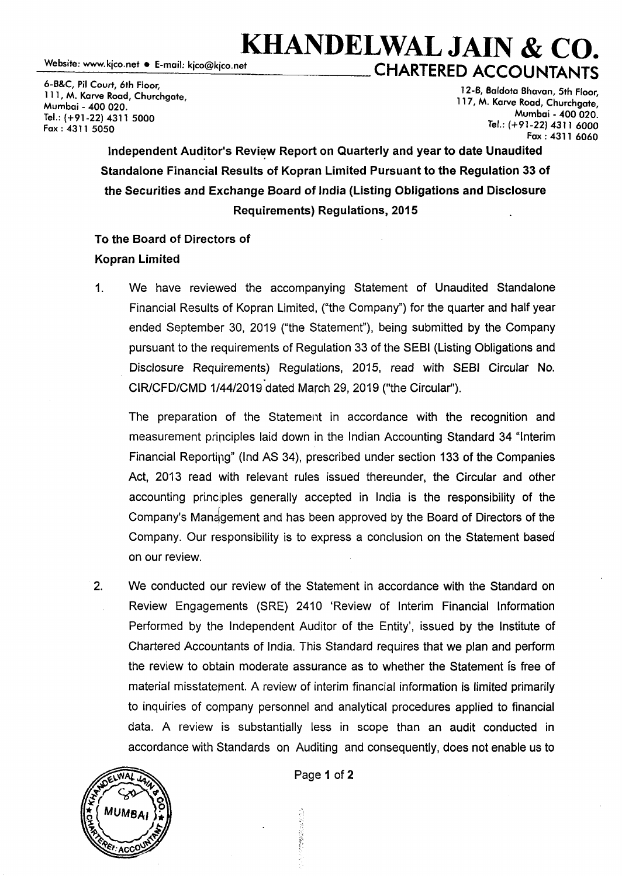## **KHANDELWAL JAIN & CO.**<br>Website: www.kico.net • E-mail: kico@kico.net<br>CHARTERED AGGOUNTANTS CHARTERED ACCOUNTANTS

6-B&C, Pil Court, 6th Floor, 111, M. Karve Road, Churchgate, Mumbai - 400 020. Tel.: (+91-22) 4311 5000 Fax: 4311 5050

12-B, 8aldota Bhavan, 5th Floor, 117, M. Karve Road, Churchgate, Mumbai - 400 020. Tel.: (+91-22) 4311 6000 Fax: 4311 6060

Independent Auditor's Review Report on Quarterly and year to date Unaudited Standalone Financial Results of Kopran Limited Pursuant to the Regulation 33 of the Securities and Exchange Board of India (Listing Obligations and Disclosure Requirements) Regulations, 2015

### To the Board of Directors of Kopran Limited

1. We have reviewed the accompanying Statement of Unaudited Standalone Financial Results of Kopran Limited, ("the Company") for the quarter and half year ended September 30, 2019 ("the Statement"), being submitted by the Company pursuant to the requirements of Regulation 33 of the SEBI (Listing Obligations and Disclosure Requirements) Regulations, 2015, read with SEBI Circular No. CIR/CFD/CMD 1/44/2019 dated March 29, 2019 ("the Circular").

The preparation of the Statement in accordance with the recognition and measurement principles laid down in the Indian Accounting Standard 34 "Interim Financial Reportipg" (Ind AS 34), prescribed under section 133 of the Companies Act, 2013 read with relevant rules issued thereunder, the Circular and other accounting principles generally accepted in India is the responsibility of the Company's Management and has been approved by the Board of Directors of the Company. Our responsibility is to express a conclusion on the Statement based on our review.

2. We conducted our review of the Statement in accordance with the Standard on Review Engagements (SRE) 2410 'Review of Interim Financial Information Performed by the Independent Auditor of the Entity', issued by the Institute of Chartered Accountants of India. This Standard requires that we plan and perform the review to obtain moderate assurance as to whether the Statement fs free of material misstatement. A review of interim financial information is limited primarily to inquiries of company personnel and analytical procedures applied to financial data. A review is substantially less in scope than an audit conducted in accordance with Standards on Auditing and consequently, does not enable us to



Page 1 of 2

Ñ

のこの おのは楽しい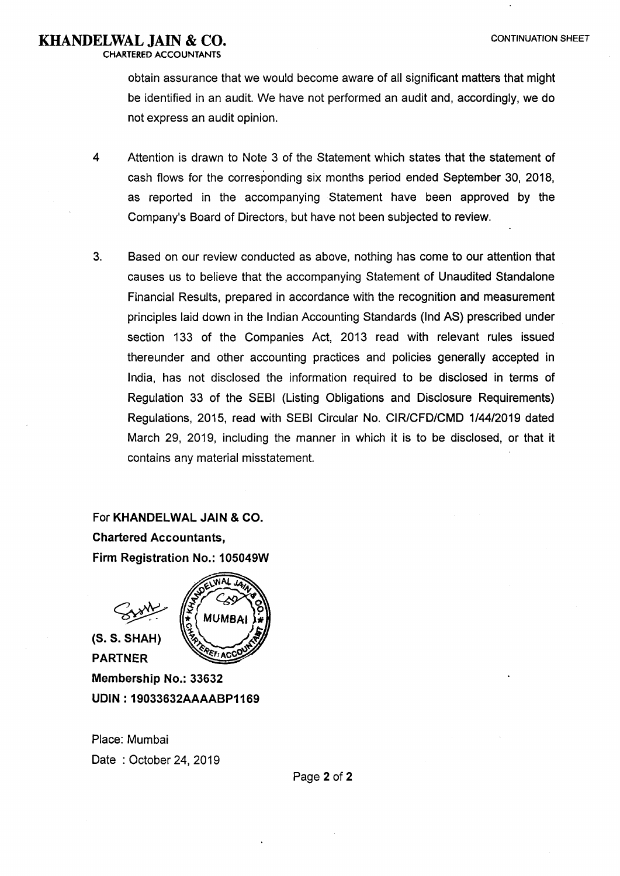### **KHANDELWAL JAIN & CO.** CONTINUATION SHEET

CHARTERED ACCOUNTANTS

obtain assurance that we would become aware of all significant matters that might be identified in an audit. We have not performed an audit and, accordingly, we do not express an audit opinion.

- 4 Attention is drawn to Note 3 of the Statement which states that the statement of cash flows for the corresponding six months period ended September 30, 2018, as reported in the accompanying Statement have been approved by the Company's Board of Directors, but have not been subjected to review.
- 3. Based on our review conducted as above, nothing has come to our attention that causes us to believe that the accompanying Statement of Unaudited Standalone Financial Results, prepared in accordance with the recognition and measurement principles laid down in the Indian Accounting Standards (Ind AS) prescribed under section 133 of the Companies Act, 2013 read with relevant rules issued thereunder and other accounting practices and policies generally accepted in India, has not disclosed the information required to be disclosed in terms of Regulation 33 of the SEBI (Listing Obligations and Disclosure Requirements) Regulations, 2015, read with SEBI Circular No. CIR/CFD/CMD 1/44/2019 dated March 29, 2019, including the manner in which it is to be disclosed, or that it contains any material misstatement.

For KHANDELWAL JAIN & CO. Chartered Accountants, Firm Registration No.: 105049W

(S.S. SHAH)  $\frac{1}{2}$   $\frac{1}{2}$   $\frac{1}{2}$   $\frac{1}{2}$   $\frac{1}{2}$   $\frac{1}{2}$   $\frac{1}{2}$   $\frac{1}{2}$   $\frac{1}{2}$   $\frac{1}{2}$   $\frac{1}{2}$   $\frac{1}{2}$   $\frac{1}{2}$   $\frac{1}{2}$   $\frac{1}{2}$   $\frac{1}{2}$   $\frac{1}{2}$   $\frac{1}{2}$   $\frac{1}{2}$   $\frac{1}{2}$   $\frac{1}{2}$   $\frac{1}{2}$ 

PARTNER



Membership No.: 33632 UDIN : 19033632AAAABP1169

Place: Mumbai Date : October 24, 2019

Page 2 of 2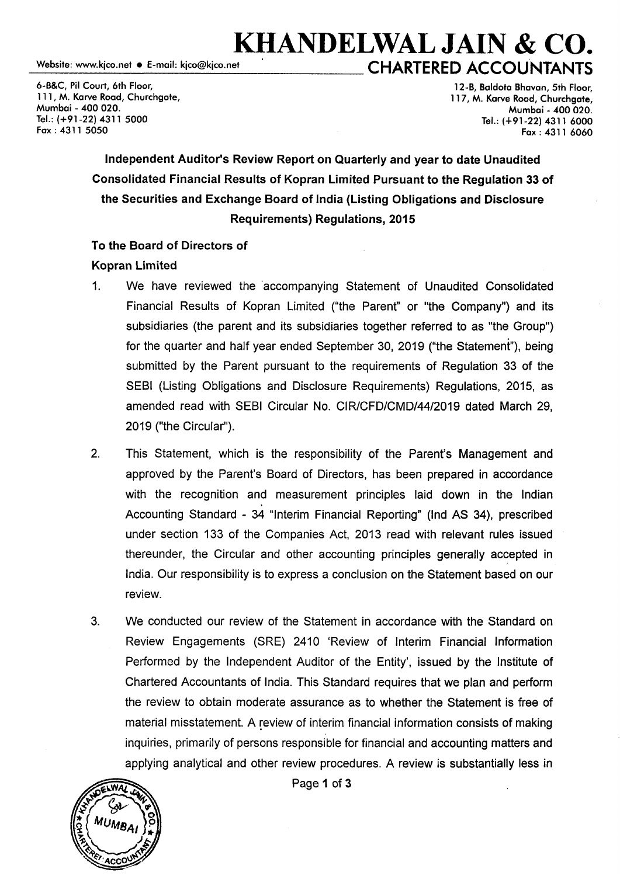# **KHANDELWAL JAIN & CO.**  \_w\_eb\_si\_te\_: www \_\_ .k\_ico\_.n\_e\_t \_•\_E\_-m\_a\_il:\_k\_ico\_@\_k\_ic\_o.\_ne\_t -------**c HARTE RED ACCO u NTANTS**

6-B&C, Pil Court, 6th Floor, 111, M. Karve Road, Churchaate, Mumbai - *400* 020. Tel.: (+91-22) 4311 5000 Fax: 4311 5050

12-B, Baldota Bhavan, 5th Floor, 117, M. Karve Road, Churchaate, Mumbai - *400* 020. Tel.: (+91-22) 4311 6000 Fax: 4311 6060

### Independent Auditor's Review Report on Quarterly and year to date Unaudited Consolidated Financial Results of Kopran Limited Pursuant to the Regulation 33 of the Securities and Exchange Board of India (Listing Obligations and Disclosure Requirements) Regulations, 2015

### To the Board of Directors of

### Kopran Limited

- 1. We have reviewed the ·accompanying Statement of Unaudited Consolidated Financial Results of Kopran Limited ("the Parent" or "the Company") and its subsidiaries (the parent and its subsidiaries together referred to as "the Group") for the quarter and half year ended September 30, 2019 ("the Statement"), being submitted by the Parent pursuant to the requirements of Regulation 33 of the SEBI (Listing Obligations and Disclosure Requirements) Regulations, 2015, as amended read with SEBI Circular No. CIR/CFD/CMD/44/2019 dated March 29, 2019 ("the Circular").
- 2. This Statement, which is the responsibility of the Parent's Management and approved by the Parent's Board of Directors, has been prepared in accordance with the recognition and measurement principles laid down in the Indian Accounting Standard - 34 "Interim Financial Reporting" (Ind AS 34), prescribed under section 133 of the Companies Act, 2013 read with relevant rules issued thereunder, the Circular and other accounting principles generally accepted in India. Our responsibility is to express a conclusion on the Statement based on our review.
- 3. We conducted our review of the Statement in accordance with the Standard on Review Engagements (SRE) 2410 'Review of Interim Financial Information Performed by the Independent Auditor of the Entity', issued by the Institute of Chartered Accountants of India. This Standard requires that we plan and perform the review to obtain moderate assurance as to whether the Statement is free of material misstatement. A review of interim financial information consists of making inquiries, primarily of persons responsible for financial and accounting matters and applying analytical and other review procedures. A review is substantially less in



Page 1 of 3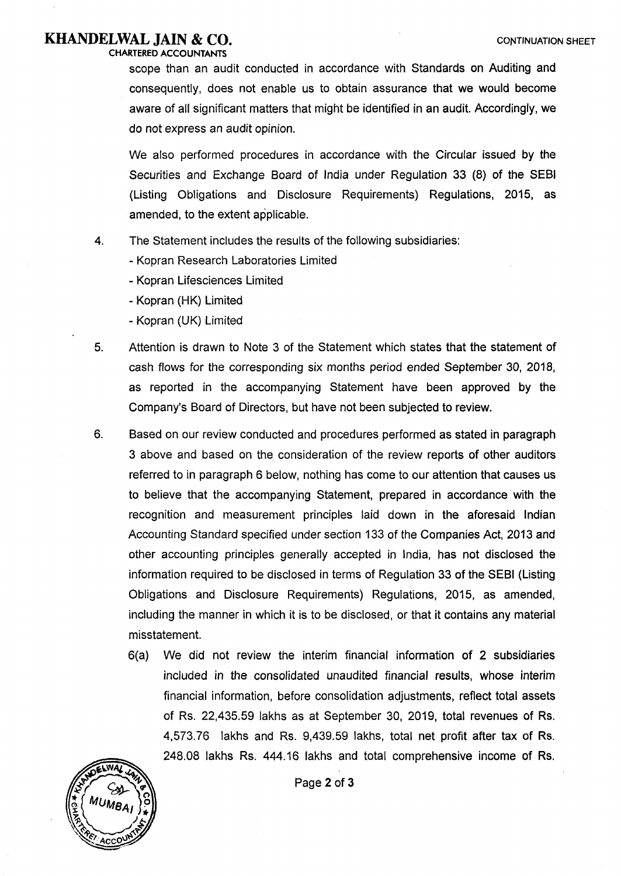### **KHANDELWAL JAIN & CO.** CONTINUATION SHEET

CHARTERED ACCOUNTANTS scope than an audit conducted in accordance with Standards on Auditing and consequently, does not enable us to obtain assurance that we would become aware of all significant matters that might be identified in an audit. Accordingly, we

do not express an audit opinion.

We also performed procedures in accordance with the Circular issued by the Securities and Exchange Board of India under Regulation 33 (8) of the SEBI (Listing Obligations and Disclosure Requirements) Regulations, 2015, as amended, to the extent applicable.

- 4. The Statement includes the results of the following subsidiaries:
	- Kopran Research Laboratories Limited
	- Kopran Lifesciences Limited
	- Kopran (HK) Limited
	- Kopran (UK) Limited
- 5. Attention is drawn to Note 3 of the Statement which states that the statement of cash flows for the corresponding six months period ended September 30, 2018, as reported in the accompanying Statement have been approved by the Company's Board of Directors, but have not been subjected to review.
- 6. Based on our review conducted and procedures performed as stated in paragraph 3 above and based on the consideration of the review reports of other auditors referred to in paragraph 6 below, nothing has come to our attention that causes us to believe that the accompanying Statement, prepared in accordance with the recognition and measurement principles laid down in the aforesaid Indian Accounting Standard specified under section 133 of the Companies Act, 2013 and other accounting principles generally accepted in India, has not disclosed the information required to be disclosed in terms of Regulation 33 of the SEBI (Listing Obligations and Disclosure Requirements) Regulations, 2015, as amended, including the manner in which it is to be disclosed, or that it contains any material misstatement.
	- 6(a) We did not review the interim financial information of 2 subsidiaries included in the consolidated unaudited financial results, whose interim financial information, before consolidation adjustments, reflect total assets of Rs. 22,435.59 lakhs as at September 30, 2019, total revenues of Rs. 4,573. 76 lakhs and Rs. 9,439.59 lakhs, total net profit after tax of Rs. 248.08 lakhs Rs. 444.16 lakhs and total comprehensive income of Rs.



Page 2 of 3